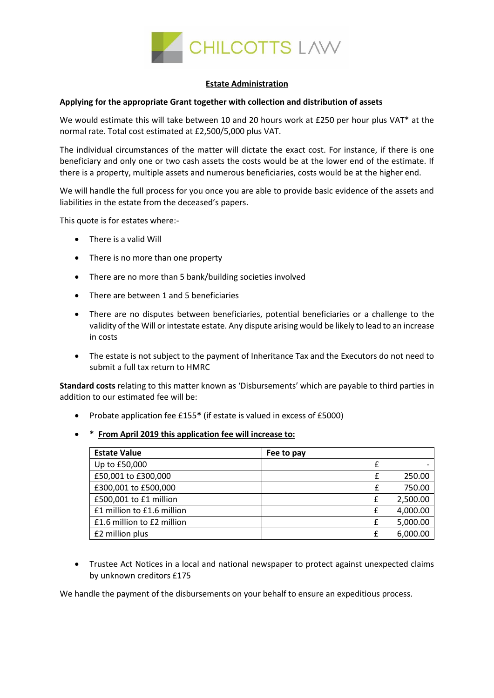

## **Estate Administration**

## **Applying for the appropriate Grant together with collection and distribution of assets**

We would estimate this will take between 10 and 20 hours work at £250 per hour plus VAT\* at the normal rate. Total cost estimated at £2,500/5,000 plus VAT.

The individual circumstances of the matter will dictate the exact cost. For instance, if there is one beneficiary and only one or two cash assets the costs would be at the lower end of the estimate. If there is a property, multiple assets and numerous beneficiaries, costs would be at the higher end.

We will handle the full process for you once you are able to provide basic evidence of the assets and liabilities in the estate from the deceased's papers.

This quote is for estates where:-

- There is a valid Will
- There is no more than one property
- There are no more than 5 bank/building societies involved
- There are between 1 and 5 beneficiaries
- There are no disputes between beneficiaries, potential beneficiaries or a challenge to the validity of the Will or intestate estate. Any dispute arising would be likely to lead to an increase in costs
- The estate is not subject to the payment of Inheritance Tax and the Executors do not need to submit a full tax return to HMRC

**Standard costs** relating to this matter known as 'Disbursements' which are payable to third parties in addition to our estimated fee will be:

- Probate application fee £155**\*** (if estate is valued in excess of £5000)
- **\* From April 2019 this application fee will increase to:**

| <b>Estate Value</b>        | Fee to pay |   |          |
|----------------------------|------------|---|----------|
| Up to £50,000              |            |   |          |
| £50,001 to £300,000        |            |   | 250.00   |
| £300,001 to £500,000       |            |   | 750.00   |
| £500,001 to £1 million     |            | £ | 2,500.00 |
| £1 million to £1.6 million |            |   | 4,000.00 |
| £1.6 million to £2 million |            | £ | 5,000.00 |
| £2 million plus            |            |   | 6,000.00 |

• Trustee Act Notices in a local and national newspaper to protect against unexpected claims by unknown creditors £175

We handle the payment of the disbursements on your behalf to ensure an expeditious process.